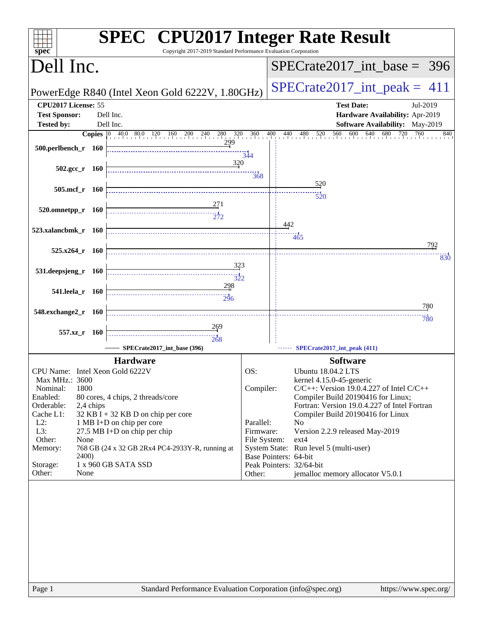| <b>SPEC<sup>®</sup></b> CPU2017 Integer Rate Result<br>Copyright 2017-2019 Standard Performance Evaluation Corporation<br>spec <sup>®</sup> |                                                                                        |  |  |  |  |
|---------------------------------------------------------------------------------------------------------------------------------------------|----------------------------------------------------------------------------------------|--|--|--|--|
| Dell Inc.                                                                                                                                   | $SPECTate2017\_int\_base = 396$                                                        |  |  |  |  |
| PowerEdge R840 (Intel Xeon Gold 6222V, 1.80GHz)                                                                                             | $SPECTate2017\_int\_peak = 411$                                                        |  |  |  |  |
| CPU2017 License: 55                                                                                                                         | <b>Test Date:</b><br>Jul-2019                                                          |  |  |  |  |
| <b>Test Sponsor:</b><br>Dell Inc.                                                                                                           | Hardware Availability: Apr-2019                                                        |  |  |  |  |
| <b>Tested by:</b><br>Dell Inc.                                                                                                              | Software Availability: May-2019                                                        |  |  |  |  |
| <b>Copies</b> 0 40.0 80.0 120 160 200 240 280 320 360                                                                                       | 640<br>680<br>$\frac{400}{1}$<br>$560$ $600$ $640$<br>720<br>760<br>440 480 520<br>840 |  |  |  |  |
| 299<br>500.perlbench_r 160                                                                                                                  |                                                                                        |  |  |  |  |
|                                                                                                                                             | 344                                                                                    |  |  |  |  |
| 320<br>$502.\text{gcc}_r$ 160                                                                                                               |                                                                                        |  |  |  |  |
|                                                                                                                                             | $\frac{11}{368}$                                                                       |  |  |  |  |
| 505.mcf r 160                                                                                                                               | 520                                                                                    |  |  |  |  |
|                                                                                                                                             | 520                                                                                    |  |  |  |  |
| $520.0$ mnetpp_r 160                                                                                                                        |                                                                                        |  |  |  |  |
|                                                                                                                                             |                                                                                        |  |  |  |  |
| 523.xalancbmk_r 160                                                                                                                         | 442                                                                                    |  |  |  |  |
|                                                                                                                                             | 465                                                                                    |  |  |  |  |
| $525.x264$ r $160$                                                                                                                          | 792                                                                                    |  |  |  |  |
|                                                                                                                                             | 830                                                                                    |  |  |  |  |
| 323<br>531.deepsjeng_r 160                                                                                                                  |                                                                                        |  |  |  |  |
| $\frac{1}{322}$                                                                                                                             |                                                                                        |  |  |  |  |
| 298<br>541.leela_r 160                                                                                                                      |                                                                                        |  |  |  |  |
| 296                                                                                                                                         |                                                                                        |  |  |  |  |
| 548.exchange2_r 160                                                                                                                         | 780                                                                                    |  |  |  |  |
|                                                                                                                                             | 780                                                                                    |  |  |  |  |
| <u>269</u><br>557.xz_r 160                                                                                                                  |                                                                                        |  |  |  |  |
| 268                                                                                                                                         |                                                                                        |  |  |  |  |
| SPECrate2017_int_base (396)                                                                                                                 | SPECrate2017_int_peak (411)                                                            |  |  |  |  |
| <b>Hardware</b>                                                                                                                             | <b>Software</b>                                                                        |  |  |  |  |
| CPU Name: Intel Xeon Gold 6222V                                                                                                             | OS:<br><b>Ubuntu 18.04.2 LTS</b>                                                       |  |  |  |  |
| Max MHz.: 3600                                                                                                                              | kernel 4.15.0-45-generic                                                               |  |  |  |  |
| 1800<br>Nominal:                                                                                                                            | Compiler:<br>$C/C++$ : Version 19.0.4.227 of Intel $C/C++$                             |  |  |  |  |
| Enabled:<br>80 cores, 4 chips, 2 threads/core<br>Orderable:<br>2,4 chips                                                                    | Compiler Build 20190416 for Linux;<br>Fortran: Version 19.0.4.227 of Intel Fortran     |  |  |  |  |
| Cache L1:<br>$32$ KB I + 32 KB D on chip per core                                                                                           | Compiler Build 20190416 for Linux                                                      |  |  |  |  |
| $L2$ :<br>1 MB I+D on chip per core                                                                                                         | Parallel:<br>N <sub>0</sub>                                                            |  |  |  |  |
| L3:<br>27.5 MB I+D on chip per chip                                                                                                         | Version 2.2.9 released May-2019<br>Firmware:                                           |  |  |  |  |
| Other:<br>None                                                                                                                              | File System:<br>ext4                                                                   |  |  |  |  |
| Memory:<br>768 GB (24 x 32 GB 2Rx4 PC4-2933Y-R, running at<br><b>2400</b> )                                                                 | System State: Run level 5 (multi-user)<br>Base Pointers: 64-bit                        |  |  |  |  |
| 1 x 960 GB SATA SSD<br>Storage:                                                                                                             | Peak Pointers: 32/64-bit                                                               |  |  |  |  |
| Other:<br>None                                                                                                                              | jemalloc memory allocator V5.0.1<br>Other:                                             |  |  |  |  |
|                                                                                                                                             |                                                                                        |  |  |  |  |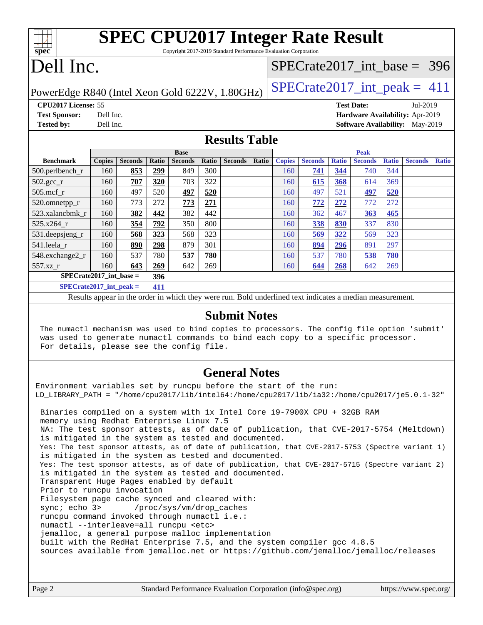| <b>SPEC CPU2017 Integer Rate Result</b><br>spec<br>Copyright 2017-2019 Standard Performance Evaluation Corporation |                                                     |                |            |                |       |                |       |                                 |                |              |                |              |                |              |
|--------------------------------------------------------------------------------------------------------------------|-----------------------------------------------------|----------------|------------|----------------|-------|----------------|-------|---------------------------------|----------------|--------------|----------------|--------------|----------------|--------------|
| Dell Inc.                                                                                                          |                                                     |                |            |                |       |                |       | $SPECrate2017\_int\_base = 396$ |                |              |                |              |                |              |
| $SPECTate2017\_int\_peak = 411$<br>PowerEdge R840 (Intel Xeon Gold 6222V, 1.80GHz)                                 |                                                     |                |            |                |       |                |       |                                 |                |              |                |              |                |              |
| CPU2017 License: 55<br><b>Test Date:</b><br>Jul-2019                                                               |                                                     |                |            |                |       |                |       |                                 |                |              |                |              |                |              |
| <b>Test Sponsor:</b><br>Dell Inc.<br>Hardware Availability: Apr-2019                                               |                                                     |                |            |                |       |                |       |                                 |                |              |                |              |                |              |
| <b>Tested by:</b>                                                                                                  | Dell Inc.<br><b>Software Availability:</b> May-2019 |                |            |                |       |                |       |                                 |                |              |                |              |                |              |
| <b>Results Table</b>                                                                                               |                                                     |                |            |                |       |                |       |                                 |                |              |                |              |                |              |
| <b>Base</b>                                                                                                        |                                                     |                |            |                |       |                |       | <b>Peak</b>                     |                |              |                |              |                |              |
| <b>Benchmark</b>                                                                                                   | <b>Copies</b>                                       | <b>Seconds</b> | Ratio      | <b>Seconds</b> | Ratio | <b>Seconds</b> | Ratio | <b>Copies</b>                   | <b>Seconds</b> | <b>Ratio</b> | <b>Seconds</b> | <b>Ratio</b> | <b>Seconds</b> | <b>Ratio</b> |
| $500.$ perlbench_r                                                                                                 | 160                                                 | 853            | <u>299</u> | 849            | 300   |                |       | 160                             | 741            | 344          | 740            | 344          |                |              |
| $502.\text{sec}$                                                                                                   | 160                                                 | 707            | 320        | 703            | 322   |                |       | 160                             | 615            | 368          | 614            | 369          |                |              |
| $505$ .mcf r                                                                                                       | 160                                                 | 497            | 520        | 497            | 520   |                |       | 160                             | 497            | 521          | 497            | 520          |                |              |
| 520.omnetpp_r                                                                                                      | 160                                                 | 773            | 272        | 773            | 271   |                |       | 160                             | 772            | 272          | 772            | 272          |                |              |
| 523.xalancbmk r                                                                                                    | 160                                                 | 382            | 442        | 382            | 442   |                |       | 160                             | 362            | 467          | 363            | 465          |                |              |
| $525.x264$ r                                                                                                       | 160                                                 | 354            | 792        | 350            | 800   |                |       | 160                             | 338            | 830          | 337            | 830          |                |              |

### **[Submit Notes](http://www.spec.org/auto/cpu2017/Docs/result-fields.html#SubmitNotes)**

Results appear in the [order in which they were run](http://www.spec.org/auto/cpu2017/Docs/result-fields.html#RunOrder). Bold underlined text [indicates a median measurement](http://www.spec.org/auto/cpu2017/Docs/result-fields.html#Median).

[531.deepsjeng\\_r](http://www.spec.org/auto/cpu2017/Docs/benchmarks/531.deepsjeng_r.html) 160 **[568](http://www.spec.org/auto/cpu2017/Docs/result-fields.html#Median) [323](http://www.spec.org/auto/cpu2017/Docs/result-fields.html#Median)** 568 323 160 **[569](http://www.spec.org/auto/cpu2017/Docs/result-fields.html#Median) [322](http://www.spec.org/auto/cpu2017/Docs/result-fields.html#Median)** 569 323 [541.leela\\_r](http://www.spec.org/auto/cpu2017/Docs/benchmarks/541.leela_r.html) 160 **[890](http://www.spec.org/auto/cpu2017/Docs/result-fields.html#Median) [298](http://www.spec.org/auto/cpu2017/Docs/result-fields.html#Median)** 879 301 160 **[894](http://www.spec.org/auto/cpu2017/Docs/result-fields.html#Median) [296](http://www.spec.org/auto/cpu2017/Docs/result-fields.html#Median)** 891 297 [548.exchange2\\_r](http://www.spec.org/auto/cpu2017/Docs/benchmarks/548.exchange2_r.html) 160 537 780 **[537](http://www.spec.org/auto/cpu2017/Docs/result-fields.html#Median) [780](http://www.spec.org/auto/cpu2017/Docs/result-fields.html#Median)** 160 537 780 **[538](http://www.spec.org/auto/cpu2017/Docs/result-fields.html#Median) [780](http://www.spec.org/auto/cpu2017/Docs/result-fields.html#Median)** [557.xz\\_r](http://www.spec.org/auto/cpu2017/Docs/benchmarks/557.xz_r.html) 160 **[643](http://www.spec.org/auto/cpu2017/Docs/result-fields.html#Median) [269](http://www.spec.org/auto/cpu2017/Docs/result-fields.html#Median)** 642 269 160 **[644](http://www.spec.org/auto/cpu2017/Docs/result-fields.html#Median) [268](http://www.spec.org/auto/cpu2017/Docs/result-fields.html#Median)** 642 269

**[SPECrate2017\\_int\\_base =](http://www.spec.org/auto/cpu2017/Docs/result-fields.html#SPECrate2017intbase) 396 [SPECrate2017\\_int\\_peak =](http://www.spec.org/auto/cpu2017/Docs/result-fields.html#SPECrate2017intpeak) 411**

 The numactl mechanism was used to bind copies to processors. The config file option 'submit' was used to generate numactl commands to bind each copy to a specific processor. For details, please see the config file.

### **[General Notes](http://www.spec.org/auto/cpu2017/Docs/result-fields.html#GeneralNotes)**

Environment variables set by runcpu before the start of the run: LD\_LIBRARY\_PATH = "/home/cpu2017/lib/intel64:/home/cpu2017/lib/ia32:/home/cpu2017/je5.0.1-32" Binaries compiled on a system with 1x Intel Core i9-7900X CPU + 32GB RAM memory using Redhat Enterprise Linux 7.5 NA: The test sponsor attests, as of date of publication, that CVE-2017-5754 (Meltdown) is mitigated in the system as tested and documented. Yes: The test sponsor attests, as of date of publication, that CVE-2017-5753 (Spectre variant 1) is mitigated in the system as tested and documented. Yes: The test sponsor attests, as of date of publication, that CVE-2017-5715 (Spectre variant 2) is mitigated in the system as tested and documented. Transparent Huge Pages enabled by default Prior to runcpu invocation Filesystem page cache synced and cleared with: sync; echo 3> /proc/sys/vm/drop\_caches runcpu command invoked through numactl i.e.: numactl --interleave=all runcpu <etc> jemalloc, a general purpose malloc implementation built with the RedHat Enterprise 7.5, and the system compiler gcc 4.8.5 sources available from jemalloc.net or <https://github.com/jemalloc/jemalloc/releases>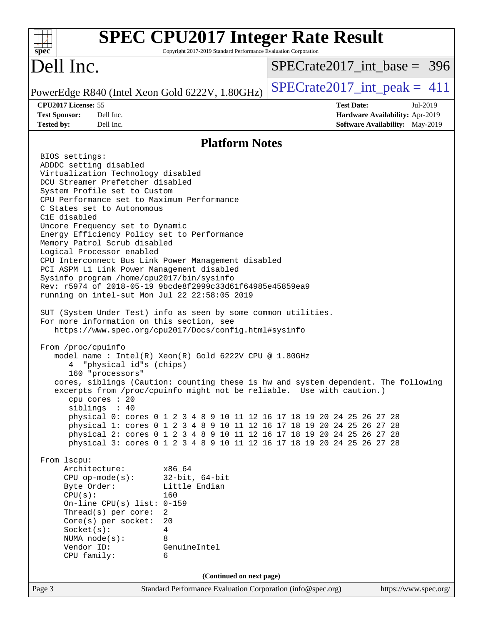| <b>SPEC CPU2017 Integer Rate Result</b><br>Copyright 2017-2019 Standard Performance Evaluation Corporation<br>$spec^*$                                                                                                                                                                                                                                                                                                                                                                                                                                                                                                                                                                                                                                                                                                                                                                                                                                                                                                                                                                                                                                                                                                                                                                                                                                                                                                                                                                                                                                                                                                                                                                                                                                                                                                        |                                                                                                     |
|-------------------------------------------------------------------------------------------------------------------------------------------------------------------------------------------------------------------------------------------------------------------------------------------------------------------------------------------------------------------------------------------------------------------------------------------------------------------------------------------------------------------------------------------------------------------------------------------------------------------------------------------------------------------------------------------------------------------------------------------------------------------------------------------------------------------------------------------------------------------------------------------------------------------------------------------------------------------------------------------------------------------------------------------------------------------------------------------------------------------------------------------------------------------------------------------------------------------------------------------------------------------------------------------------------------------------------------------------------------------------------------------------------------------------------------------------------------------------------------------------------------------------------------------------------------------------------------------------------------------------------------------------------------------------------------------------------------------------------------------------------------------------------------------------------------------------------|-----------------------------------------------------------------------------------------------------|
| Dell Inc.                                                                                                                                                                                                                                                                                                                                                                                                                                                                                                                                                                                                                                                                                                                                                                                                                                                                                                                                                                                                                                                                                                                                                                                                                                                                                                                                                                                                                                                                                                                                                                                                                                                                                                                                                                                                                     | $SPECrate2017\_int\_base = 396$                                                                     |
| PowerEdge R840 (Intel Xeon Gold 6222V, 1.80GHz)                                                                                                                                                                                                                                                                                                                                                                                                                                                                                                                                                                                                                                                                                                                                                                                                                                                                                                                                                                                                                                                                                                                                                                                                                                                                                                                                                                                                                                                                                                                                                                                                                                                                                                                                                                               | $SPECTate2017\_int\_peak = 411$                                                                     |
| CPU2017 License: 55<br><b>Test Sponsor:</b><br>Dell Inc.<br>Dell Inc.<br><b>Tested by:</b>                                                                                                                                                                                                                                                                                                                                                                                                                                                                                                                                                                                                                                                                                                                                                                                                                                                                                                                                                                                                                                                                                                                                                                                                                                                                                                                                                                                                                                                                                                                                                                                                                                                                                                                                    | <b>Test Date:</b><br>Jul-2019<br>Hardware Availability: Apr-2019<br>Software Availability: May-2019 |
| <b>Platform Notes</b>                                                                                                                                                                                                                                                                                                                                                                                                                                                                                                                                                                                                                                                                                                                                                                                                                                                                                                                                                                                                                                                                                                                                                                                                                                                                                                                                                                                                                                                                                                                                                                                                                                                                                                                                                                                                         |                                                                                                     |
| BIOS settings:<br>ADDDC setting disabled<br>Virtualization Technology disabled<br>DCU Streamer Prefetcher disabled<br>System Profile set to Custom<br>CPU Performance set to Maximum Performance<br>C States set to Autonomous<br>C1E disabled<br>Uncore Frequency set to Dynamic<br>Energy Efficiency Policy set to Performance<br>Memory Patrol Scrub disabled<br>Logical Processor enabled<br>CPU Interconnect Bus Link Power Management disabled<br>PCI ASPM L1 Link Power Management disabled<br>Sysinfo program /home/cpu2017/bin/sysinfo<br>Rev: r5974 of 2018-05-19 9bcde8f2999c33d61f64985e45859ea9<br>running on intel-sut Mon Jul 22 22:58:05 2019<br>SUT (System Under Test) info as seen by some common utilities.<br>For more information on this section, see<br>https://www.spec.org/cpu2017/Docs/config.html#sysinfo<br>From /proc/cpuinfo<br>model name: $Intel(R)$ Xeon $(R)$ Gold 6222V CPU @ 1.80GHz<br>"physical id"s (chips)<br>160 "processors"<br>cores, siblings (Caution: counting these is hw and system dependent. The following<br>excerpts from /proc/cpuinfo might not be reliable. Use with caution.)<br>cpu cores : 20<br>siblings : 40<br>physical 0: cores 0 1 2 3 4 8 9 10 11 12 16 17 18 19 20 24 25 26 27 28<br>physical 1: cores 0 1 2 3 4 8 9 10 11 12 16 17 18 19 20 24 25 26 27 28<br>physical 2: cores 0 1 2 3 4 8 9 10 11 12 16 17 18 19 20 24 25 26 27 28<br>physical 3: cores 0 1 2 3 4 8 9 10 11 12 16 17 18 19 20 24 25 26 27 28<br>From 1scpu:<br>Architecture:<br>x86 64<br>$32$ -bit, $64$ -bit<br>$CPU op-mode(s):$<br>Little Endian<br>Byte Order:<br>CPU(s):<br>160<br>On-line CPU(s) list: $0-159$<br>Thread(s) per core:<br>$\overline{2}$<br>$Core(s)$ per socket:<br>20<br>Socket(s):<br>4<br>NUMA node(s):<br>8<br>Vendor ID:<br>GenuineIntel<br>CPU family:<br>6 |                                                                                                     |
| (Continued on next page)<br>Standard Performance Evaluation Corporation (info@spec.org)<br>Page 3                                                                                                                                                                                                                                                                                                                                                                                                                                                                                                                                                                                                                                                                                                                                                                                                                                                                                                                                                                                                                                                                                                                                                                                                                                                                                                                                                                                                                                                                                                                                                                                                                                                                                                                             | https://www.spec.org/                                                                               |
|                                                                                                                                                                                                                                                                                                                                                                                                                                                                                                                                                                                                                                                                                                                                                                                                                                                                                                                                                                                                                                                                                                                                                                                                                                                                                                                                                                                                                                                                                                                                                                                                                                                                                                                                                                                                                               |                                                                                                     |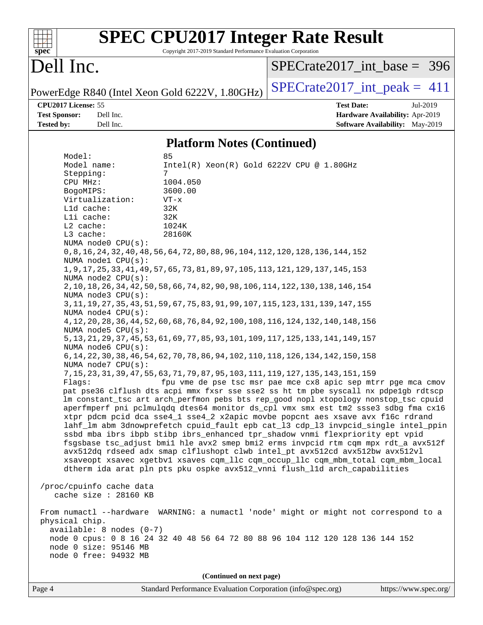| spec <sup>®</sup>                                                                                                                               |                                                                                                                                                                                                                                                                                                                                      | Copyright 2017-2019 Standard Performance Evaluation Corporation                                                                                                                                                                                                                                                                                                                                                                                                                        | <b>SPEC CPU2017 Integer Rate Result</b>                                                                                                                                                                                                                                                                                                                                                                                                                                                                                                                                                                                                                                                                                                                                                                                                                                                                                                                                                                                                                                                                                                                                                                                                                                                                                                                                                                                                                                      |                                                                                       |
|-------------------------------------------------------------------------------------------------------------------------------------------------|--------------------------------------------------------------------------------------------------------------------------------------------------------------------------------------------------------------------------------------------------------------------------------------------------------------------------------------|----------------------------------------------------------------------------------------------------------------------------------------------------------------------------------------------------------------------------------------------------------------------------------------------------------------------------------------------------------------------------------------------------------------------------------------------------------------------------------------|------------------------------------------------------------------------------------------------------------------------------------------------------------------------------------------------------------------------------------------------------------------------------------------------------------------------------------------------------------------------------------------------------------------------------------------------------------------------------------------------------------------------------------------------------------------------------------------------------------------------------------------------------------------------------------------------------------------------------------------------------------------------------------------------------------------------------------------------------------------------------------------------------------------------------------------------------------------------------------------------------------------------------------------------------------------------------------------------------------------------------------------------------------------------------------------------------------------------------------------------------------------------------------------------------------------------------------------------------------------------------------------------------------------------------------------------------------------------------|---------------------------------------------------------------------------------------|
| Dell Inc.                                                                                                                                       |                                                                                                                                                                                                                                                                                                                                      |                                                                                                                                                                                                                                                                                                                                                                                                                                                                                        | $SPECrate2017$ _int_base = 396                                                                                                                                                                                                                                                                                                                                                                                                                                                                                                                                                                                                                                                                                                                                                                                                                                                                                                                                                                                                                                                                                                                                                                                                                                                                                                                                                                                                                                               |                                                                                       |
|                                                                                                                                                 |                                                                                                                                                                                                                                                                                                                                      | PowerEdge R840 (Intel Xeon Gold 6222V, 1.80GHz)                                                                                                                                                                                                                                                                                                                                                                                                                                        | $SPECrate2017\_int\_peak = 411$                                                                                                                                                                                                                                                                                                                                                                                                                                                                                                                                                                                                                                                                                                                                                                                                                                                                                                                                                                                                                                                                                                                                                                                                                                                                                                                                                                                                                                              |                                                                                       |
| CPU2017 License: 55<br><b>Test Sponsor:</b><br><b>Tested by:</b>                                                                                | Dell Inc.<br>Dell Inc.                                                                                                                                                                                                                                                                                                               |                                                                                                                                                                                                                                                                                                                                                                                                                                                                                        | <b>Test Date:</b>                                                                                                                                                                                                                                                                                                                                                                                                                                                                                                                                                                                                                                                                                                                                                                                                                                                                                                                                                                                                                                                                                                                                                                                                                                                                                                                                                                                                                                                            | Jul-2019<br>Hardware Availability: Apr-2019<br><b>Software Availability:</b> May-2019 |
|                                                                                                                                                 |                                                                                                                                                                                                                                                                                                                                      | <b>Platform Notes (Continued)</b>                                                                                                                                                                                                                                                                                                                                                                                                                                                      |                                                                                                                                                                                                                                                                                                                                                                                                                                                                                                                                                                                                                                                                                                                                                                                                                                                                                                                                                                                                                                                                                                                                                                                                                                                                                                                                                                                                                                                                              |                                                                                       |
| Model:<br>Model name:<br>Stepping:<br>CPU MHz:<br>BogoMIPS:<br>Lld cache:<br>Lli cache:<br>$L2$ cache:<br>L3 cache:<br>Flaqs:<br>physical chip. | Virtualization:<br>NUMA node0 CPU(s):<br>NUMA nodel CPU(s):<br>NUMA node2 CPU(s):<br>NUMA node3 CPU(s):<br>NUMA node4 CPU(s):<br>NUMA node5 CPU(s):<br>NUMA node6 CPU(s):<br>NUMA node7 CPU(s):<br>/proc/cpuinfo cache data<br>cache size : 28160 KB<br>$available: 8 nodes (0-7)$<br>node 0 size: 95146 MB<br>node 0 free: 94932 MB | 85<br>Intel(R) Xeon(R) Gold 6222V CPU @ 1.80GHz<br>7<br>1004.050<br>3600.00<br>$VT - x$<br>32K<br>32K<br>1024K<br>28160K<br>0, 8, 16, 24, 32, 40, 48, 56, 64, 72, 80, 88, 96, 104, 112, 120, 128, 136, 144, 152<br>1, 9, 17, 25, 33, 41, 49, 57, 65, 73, 81, 89, 97, 105, 113, 121, 129, 137, 145, 153<br>2, 10, 18, 26, 34, 42, 50, 58, 66, 74, 82, 90, 98, 106, 114, 122, 130, 138, 146, 154<br>3, 11, 19, 27, 35, 43, 51, 59, 67, 75, 83, 91, 99, 107, 115, 123, 131, 139, 147, 155 | 4, 12, 20, 28, 36, 44, 52, 60, 68, 76, 84, 92, 100, 108, 116, 124, 132, 140, 148, 156<br>5, 13, 21, 29, 37, 45, 53, 61, 69, 77, 85, 93, 101, 109, 117, 125, 133, 141, 149, 157<br>6, 14, 22, 30, 38, 46, 54, 62, 70, 78, 86, 94, 102, 110, 118, 126, 134, 142, 150, 158<br>7, 15, 23, 31, 39, 47, 55, 63, 71, 79, 87, 95, 103, 111, 119, 127, 135, 143, 151, 159<br>fpu vme de pse tsc msr pae mce cx8 apic sep mtrr pge mca cmov<br>pat pse36 clflush dts acpi mmx fxsr sse sse2 ss ht tm pbe syscall nx pdpe1gb rdtscp<br>lm constant_tsc art arch_perfmon pebs bts rep_good nopl xtopology nonstop_tsc cpuid<br>aperfmperf pni pclmulqdq dtes64 monitor ds_cpl vmx smx est tm2 ssse3 sdbg fma cx16<br>xtpr pdcm pcid dca sse4_1 sse4_2 x2apic movbe popcnt aes xsave avx f16c rdrand<br>lahf_lm abm 3dnowprefetch cpuid_fault epb cat_13 cdp_13 invpcid_single intel_ppin<br>ssbd mba ibrs ibpb stibp ibrs_enhanced tpr_shadow vnmi flexpriority ept vpid<br>fsgsbase tsc_adjust bmil hle avx2 smep bmi2 erms invpcid rtm cqm mpx rdt_a avx512f<br>avx512dq rdseed adx smap clflushopt clwb intel_pt avx512cd avx512bw avx512vl<br>xsaveopt xsavec xgetbvl xsaves cqm_llc cqm_occup_llc cqm_mbm_total cqm_mbm_local<br>dtherm ida arat pln pts pku ospke avx512_vnni flush_lld arch_capabilities<br>From numactl --hardware WARNING: a numactl 'node' might or might not correspond to a<br>node 0 cpus: 0 8 16 24 32 40 48 56 64 72 80 88 96 104 112 120 128 136 144 152 |                                                                                       |
| Page 4                                                                                                                                          |                                                                                                                                                                                                                                                                                                                                      | (Continued on next page)<br>Standard Performance Evaluation Corporation (info@spec.org)                                                                                                                                                                                                                                                                                                                                                                                                |                                                                                                                                                                                                                                                                                                                                                                                                                                                                                                                                                                                                                                                                                                                                                                                                                                                                                                                                                                                                                                                                                                                                                                                                                                                                                                                                                                                                                                                                              | https://www.spec.org/                                                                 |
|                                                                                                                                                 |                                                                                                                                                                                                                                                                                                                                      |                                                                                                                                                                                                                                                                                                                                                                                                                                                                                        |                                                                                                                                                                                                                                                                                                                                                                                                                                                                                                                                                                                                                                                                                                                                                                                                                                                                                                                                                                                                                                                                                                                                                                                                                                                                                                                                                                                                                                                                              |                                                                                       |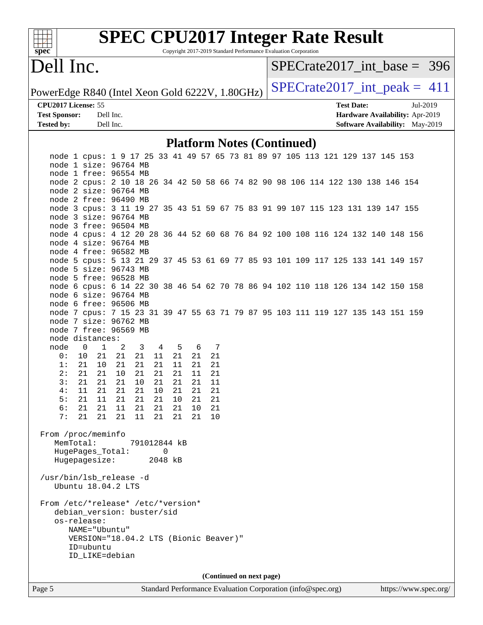

# **[SPEC CPU2017 Integer Rate Result](http://www.spec.org/auto/cpu2017/Docs/result-fields.html#SPECCPU2017IntegerRateResult)**

Copyright 2017-2019 Standard Performance Evaluation Corporation

### Dell Inc.

[SPECrate2017\\_int\\_base =](http://www.spec.org/auto/cpu2017/Docs/result-fields.html#SPECrate2017intbase) 396

PowerEdge R840 (Intel Xeon Gold 6222V,  $1.80GHz$ ) [SPECrate2017\\_int\\_peak =](http://www.spec.org/auto/cpu2017/Docs/result-fields.html#SPECrate2017intpeak) 411

**[CPU2017 License:](http://www.spec.org/auto/cpu2017/Docs/result-fields.html#CPU2017License)** 55 **[Test Date:](http://www.spec.org/auto/cpu2017/Docs/result-fields.html#TestDate)** Jul-2019 **[Test Sponsor:](http://www.spec.org/auto/cpu2017/Docs/result-fields.html#TestSponsor)** Dell Inc. **[Hardware Availability:](http://www.spec.org/auto/cpu2017/Docs/result-fields.html#HardwareAvailability)** Apr-2019 **[Tested by:](http://www.spec.org/auto/cpu2017/Docs/result-fields.html#Testedby)** Dell Inc. **[Software Availability:](http://www.spec.org/auto/cpu2017/Docs/result-fields.html#SoftwareAvailability)** May-2019

#### **[Platform Notes \(Continued\)](http://www.spec.org/auto/cpu2017/Docs/result-fields.html#PlatformNotes)**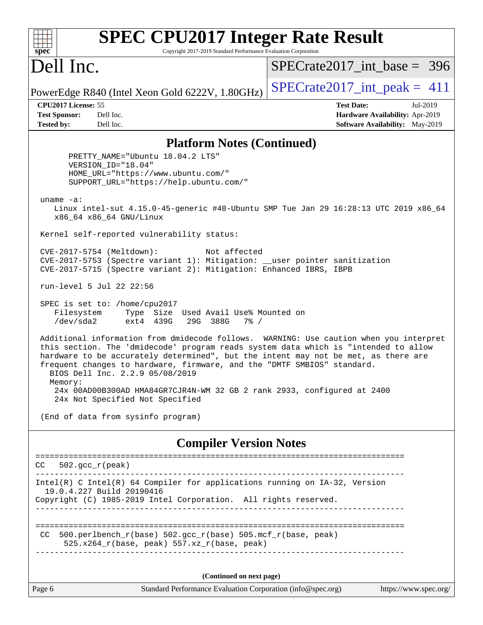| <b>SPEC CPU2017 Integer Rate Result</b>                                                                                                                                                                                                                                                                                                                                                      |                                                                                                            |
|----------------------------------------------------------------------------------------------------------------------------------------------------------------------------------------------------------------------------------------------------------------------------------------------------------------------------------------------------------------------------------------------|------------------------------------------------------------------------------------------------------------|
| Copyright 2017-2019 Standard Performance Evaluation Corporation<br>spec <sup>®</sup><br>Dell Inc.                                                                                                                                                                                                                                                                                            | $SPECrate2017$ int base = 396                                                                              |
| PowerEdge R840 (Intel Xeon Gold 6222V, 1.80GHz)                                                                                                                                                                                                                                                                                                                                              | $SPECrate2017\_int\_peak = 411$                                                                            |
| CPU2017 License: 55<br>Dell Inc.<br><b>Test Sponsor:</b><br><b>Tested by:</b><br>Dell Inc.                                                                                                                                                                                                                                                                                                   | <b>Test Date:</b><br>Jul-2019<br>Hardware Availability: Apr-2019<br><b>Software Availability:</b> May-2019 |
| <b>Platform Notes (Continued)</b>                                                                                                                                                                                                                                                                                                                                                            |                                                                                                            |
| PRETTY_NAME="Ubuntu 18.04.2 LTS"<br>VERSION_ID="18.04"<br>HOME_URL="https://www.ubuntu.com/"<br>SUPPORT_URL="https://help.ubuntu.com/"                                                                                                                                                                                                                                                       |                                                                                                            |
| uname $-a$ :<br>Linux intel-sut 4.15.0-45-generic #48-Ubuntu SMP Tue Jan 29 16:28:13 UTC 2019 x86_64<br>x86_64 x86_64 GNU/Linux                                                                                                                                                                                                                                                              |                                                                                                            |
| Kernel self-reported vulnerability status:                                                                                                                                                                                                                                                                                                                                                   |                                                                                                            |
| CVE-2017-5754 (Meltdown):<br>Not affected<br>CVE-2017-5753 (Spectre variant 1): Mitigation: __user pointer sanitization<br>CVE-2017-5715 (Spectre variant 2): Mitigation: Enhanced IBRS, IBPB                                                                                                                                                                                                |                                                                                                            |
| run-level 5 Jul 22 22:56                                                                                                                                                                                                                                                                                                                                                                     |                                                                                                            |
| SPEC is set to: /home/cpu2017<br>Type Size Used Avail Use% Mounted on<br>Filesystem<br>/dev/sda2<br>ext4 439G<br>29G 388G<br>$7\frac{6}{9}$ /                                                                                                                                                                                                                                                |                                                                                                            |
| Additional information from dmidecode follows. WARNING: Use caution when you interpret<br>this section. The 'dmidecode' program reads system data which is "intended to allow<br>hardware to be accurately determined", but the intent may not be met, as there are<br>frequent changes to hardware, firmware, and the "DMTF SMBIOS" standard.<br>BIOS Dell Inc. 2.2.9 05/08/2019<br>Memory: |                                                                                                            |
| 24x 00AD00B300AD HMA84GR7CJR4N-WM 32 GB 2 rank 2933, configured at 2400<br>24x Not Specified Not Specified                                                                                                                                                                                                                                                                                   |                                                                                                            |
| (End of data from sysinfo program)                                                                                                                                                                                                                                                                                                                                                           |                                                                                                            |
| <b>Compiler Version Notes</b>                                                                                                                                                                                                                                                                                                                                                                |                                                                                                            |
| CC.<br>$502. \text{gcc\_r}(\text{peak})$                                                                                                                                                                                                                                                                                                                                                     |                                                                                                            |
| ----------------------------------<br>Intel(R) C Intel(R) 64 Compiler for applications running on IA-32, Version<br>19.0.4.227 Build 20190416<br>Copyright (C) 1985-2019 Intel Corporation. All rights reserved.                                                                                                                                                                             |                                                                                                            |
| ---------------<br>500.perlbench_r(base) 502.gcc_r(base) 505.mcf_r(base, peak)<br>CC.<br>525.x264_r(base, peak) 557.xz_r(base, peak)                                                                                                                                                                                                                                                         | =====================================                                                                      |
| (Continued on next page)                                                                                                                                                                                                                                                                                                                                                                     |                                                                                                            |
| Page 6<br>Standard Performance Evaluation Corporation (info@spec.org)                                                                                                                                                                                                                                                                                                                        | https://www.spec.org/                                                                                      |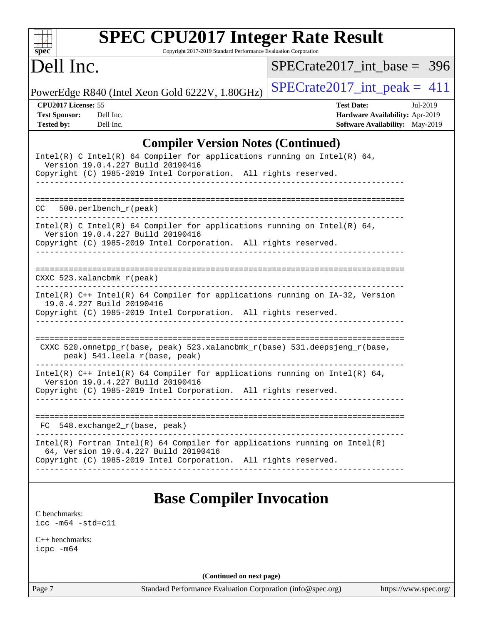| spec <sup>®</sup>                                                                                                                                                                                                          | <b>SPEC CPU2017 Integer Rate Result</b><br>Copyright 2017-2019 Standard Performance Evaluation Corporation |
|----------------------------------------------------------------------------------------------------------------------------------------------------------------------------------------------------------------------------|------------------------------------------------------------------------------------------------------------|
| Dell Inc.                                                                                                                                                                                                                  | $SPECrate2017$ int base = 396                                                                              |
| PowerEdge R840 (Intel Xeon Gold 6222V, 1.80GHz)                                                                                                                                                                            | $SPECrate2017\_int\_peak = 411$                                                                            |
| <b>CPU2017 License: 55</b><br><b>Test Sponsor:</b><br>Dell Inc.<br><b>Tested by:</b><br>Dell Inc.                                                                                                                          | <b>Test Date:</b><br>Jul-2019<br>Hardware Availability: Apr-2019<br>Software Availability: May-2019        |
|                                                                                                                                                                                                                            | <b>Compiler Version Notes (Continued)</b>                                                                  |
| $Intel(R)$ C Intel(R) 64 Compiler for applications running on Intel(R) 64,<br>Version 19.0.4.227 Build 20190416<br>Copyright (C) 1985-2019 Intel Corporation. All rights reserved.                                         |                                                                                                            |
| $500.$ perlbench $r$ (peak)<br>CC                                                                                                                                                                                          |                                                                                                            |
| Intel(R) C Intel(R) 64 Compiler for applications running on Intel(R) 64,<br>Version 19.0.4.227 Build 20190416<br>Copyright (C) 1985-2019 Intel Corporation. All rights reserved.<br><u>U U U U U U U U U U U U U U U U</u> |                                                                                                            |
| CXXC 523.xalancbmk r(peak)                                                                                                                                                                                                 |                                                                                                            |
| Intel(R) C++ Intel(R) 64 Compiler for applications running on IA-32, Version<br>19.0.4.227 Build 20190416<br>Copyright (C) 1985-2019 Intel Corporation. All rights reserved.                                               |                                                                                                            |
| CXXC 520.omnetpp_r(base, peak) 523.xalancbmk_r(base) 531.deepsjeng_r(base,<br>peak) 541. leela r(base, peak)                                                                                                               |                                                                                                            |
| $Intel(R)$ C++ Intel(R) 64 Compiler for applications running on Intel(R) 64,<br>Version 19.0.4.227 Build 20190416                                                                                                          | Copyright (C) 1985-2019 Intel Corporation. All rights reserved.                                            |

 FC 548.exchange2\_r(base, peak) ------------------------------------------------------------------------------ Intel(R) Fortran Intel(R) 64 Compiler for applications running on Intel(R) 64, Version 19.0.4.227 Build 20190416 Copyright (C) 1985-2019 Intel Corporation. All rights reserved. ------------------------------------------------------------------------------

## **[Base Compiler Invocation](http://www.spec.org/auto/cpu2017/Docs/result-fields.html#BaseCompilerInvocation)**

[C benchmarks](http://www.spec.org/auto/cpu2017/Docs/result-fields.html#Cbenchmarks): [icc -m64 -std=c11](http://www.spec.org/cpu2017/results/res2019q3/cpu2017-20190805-16478.flags.html#user_CCbase_intel_icc_64bit_c11_33ee0cdaae7deeeab2a9725423ba97205ce30f63b9926c2519791662299b76a0318f32ddfffdc46587804de3178b4f9328c46fa7c2b0cd779d7a61945c91cd35)

[C++ benchmarks:](http://www.spec.org/auto/cpu2017/Docs/result-fields.html#CXXbenchmarks) [icpc -m64](http://www.spec.org/cpu2017/results/res2019q3/cpu2017-20190805-16478.flags.html#user_CXXbase_intel_icpc_64bit_4ecb2543ae3f1412ef961e0650ca070fec7b7afdcd6ed48761b84423119d1bf6bdf5cad15b44d48e7256388bc77273b966e5eb805aefd121eb22e9299b2ec9d9)

**(Continued on next page)**

Page 7 Standard Performance Evaluation Corporation [\(info@spec.org\)](mailto:info@spec.org) <https://www.spec.org/>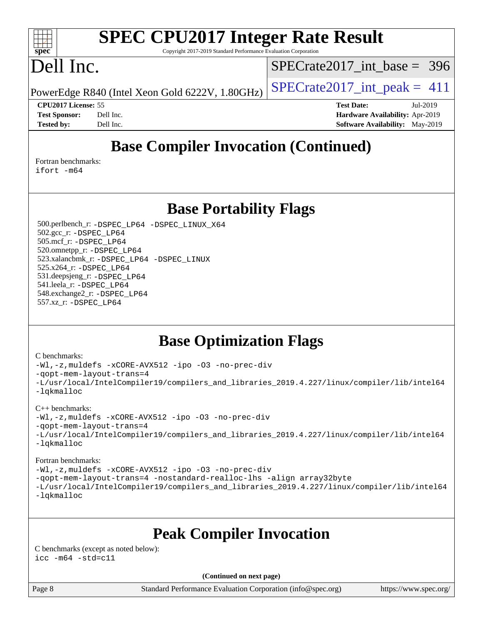#### $+\ +$ **[spec](http://www.spec.org/)**

# **[SPEC CPU2017 Integer Rate Result](http://www.spec.org/auto/cpu2017/Docs/result-fields.html#SPECCPU2017IntegerRateResult)**

Copyright 2017-2019 Standard Performance Evaluation Corporation

### Dell Inc.

[SPECrate2017\\_int\\_base =](http://www.spec.org/auto/cpu2017/Docs/result-fields.html#SPECrate2017intbase) 396

PowerEdge R840 (Intel Xeon Gold 6222V, 1.80GHz)  $\vert$  [SPECrate2017\\_int\\_peak =](http://www.spec.org/auto/cpu2017/Docs/result-fields.html#SPECrate2017intpeak) 411

**[CPU2017 License:](http://www.spec.org/auto/cpu2017/Docs/result-fields.html#CPU2017License)** 55 **[Test Date:](http://www.spec.org/auto/cpu2017/Docs/result-fields.html#TestDate)** Jul-2019 **[Test Sponsor:](http://www.spec.org/auto/cpu2017/Docs/result-fields.html#TestSponsor)** Dell Inc. **[Hardware Availability:](http://www.spec.org/auto/cpu2017/Docs/result-fields.html#HardwareAvailability)** Apr-2019 **[Tested by:](http://www.spec.org/auto/cpu2017/Docs/result-fields.html#Testedby)** Dell Inc. **[Software Availability:](http://www.spec.org/auto/cpu2017/Docs/result-fields.html#SoftwareAvailability)** May-2019

### **[Base Compiler Invocation \(Continued\)](http://www.spec.org/auto/cpu2017/Docs/result-fields.html#BaseCompilerInvocation)**

[Fortran benchmarks](http://www.spec.org/auto/cpu2017/Docs/result-fields.html#Fortranbenchmarks): [ifort -m64](http://www.spec.org/cpu2017/results/res2019q3/cpu2017-20190805-16478.flags.html#user_FCbase_intel_ifort_64bit_24f2bb282fbaeffd6157abe4f878425411749daecae9a33200eee2bee2fe76f3b89351d69a8130dd5949958ce389cf37ff59a95e7a40d588e8d3a57e0c3fd751)

**[Base Portability Flags](http://www.spec.org/auto/cpu2017/Docs/result-fields.html#BasePortabilityFlags)**

 500.perlbench\_r: [-DSPEC\\_LP64](http://www.spec.org/cpu2017/results/res2019q3/cpu2017-20190805-16478.flags.html#b500.perlbench_r_basePORTABILITY_DSPEC_LP64) [-DSPEC\\_LINUX\\_X64](http://www.spec.org/cpu2017/results/res2019q3/cpu2017-20190805-16478.flags.html#b500.perlbench_r_baseCPORTABILITY_DSPEC_LINUX_X64) 502.gcc\_r: [-DSPEC\\_LP64](http://www.spec.org/cpu2017/results/res2019q3/cpu2017-20190805-16478.flags.html#suite_basePORTABILITY502_gcc_r_DSPEC_LP64) 505.mcf\_r: [-DSPEC\\_LP64](http://www.spec.org/cpu2017/results/res2019q3/cpu2017-20190805-16478.flags.html#suite_basePORTABILITY505_mcf_r_DSPEC_LP64) 520.omnetpp\_r: [-DSPEC\\_LP64](http://www.spec.org/cpu2017/results/res2019q3/cpu2017-20190805-16478.flags.html#suite_basePORTABILITY520_omnetpp_r_DSPEC_LP64) 523.xalancbmk\_r: [-DSPEC\\_LP64](http://www.spec.org/cpu2017/results/res2019q3/cpu2017-20190805-16478.flags.html#suite_basePORTABILITY523_xalancbmk_r_DSPEC_LP64) [-DSPEC\\_LINUX](http://www.spec.org/cpu2017/results/res2019q3/cpu2017-20190805-16478.flags.html#b523.xalancbmk_r_baseCXXPORTABILITY_DSPEC_LINUX) 525.x264\_r: [-DSPEC\\_LP64](http://www.spec.org/cpu2017/results/res2019q3/cpu2017-20190805-16478.flags.html#suite_basePORTABILITY525_x264_r_DSPEC_LP64) 531.deepsjeng\_r: [-DSPEC\\_LP64](http://www.spec.org/cpu2017/results/res2019q3/cpu2017-20190805-16478.flags.html#suite_basePORTABILITY531_deepsjeng_r_DSPEC_LP64) 541.leela\_r: [-DSPEC\\_LP64](http://www.spec.org/cpu2017/results/res2019q3/cpu2017-20190805-16478.flags.html#suite_basePORTABILITY541_leela_r_DSPEC_LP64) 548.exchange2\_r: [-DSPEC\\_LP64](http://www.spec.org/cpu2017/results/res2019q3/cpu2017-20190805-16478.flags.html#suite_basePORTABILITY548_exchange2_r_DSPEC_LP64) 557.xz\_r: [-DSPEC\\_LP64](http://www.spec.org/cpu2017/results/res2019q3/cpu2017-20190805-16478.flags.html#suite_basePORTABILITY557_xz_r_DSPEC_LP64)

### **[Base Optimization Flags](http://www.spec.org/auto/cpu2017/Docs/result-fields.html#BaseOptimizationFlags)**

#### [C benchmarks](http://www.spec.org/auto/cpu2017/Docs/result-fields.html#Cbenchmarks):

[-Wl,-z,muldefs](http://www.spec.org/cpu2017/results/res2019q3/cpu2017-20190805-16478.flags.html#user_CCbase_link_force_multiple1_b4cbdb97b34bdee9ceefcfe54f4c8ea74255f0b02a4b23e853cdb0e18eb4525ac79b5a88067c842dd0ee6996c24547a27a4b99331201badda8798ef8a743f577) [-xCORE-AVX512](http://www.spec.org/cpu2017/results/res2019q3/cpu2017-20190805-16478.flags.html#user_CCbase_f-xCORE-AVX512) [-ipo](http://www.spec.org/cpu2017/results/res2019q3/cpu2017-20190805-16478.flags.html#user_CCbase_f-ipo) [-O3](http://www.spec.org/cpu2017/results/res2019q3/cpu2017-20190805-16478.flags.html#user_CCbase_f-O3) [-no-prec-div](http://www.spec.org/cpu2017/results/res2019q3/cpu2017-20190805-16478.flags.html#user_CCbase_f-no-prec-div) [-qopt-mem-layout-trans=4](http://www.spec.org/cpu2017/results/res2019q3/cpu2017-20190805-16478.flags.html#user_CCbase_f-qopt-mem-layout-trans_fa39e755916c150a61361b7846f310bcdf6f04e385ef281cadf3647acec3f0ae266d1a1d22d972a7087a248fd4e6ca390a3634700869573d231a252c784941a8) [-L/usr/local/IntelCompiler19/compilers\\_and\\_libraries\\_2019.4.227/linux/compiler/lib/intel64](http://www.spec.org/cpu2017/results/res2019q3/cpu2017-20190805-16478.flags.html#user_CCbase_qkmalloc_link_0ffe0cb02c68ef1b443a077c7888c10c67ca0d1dd7138472156f06a085bbad385f78d49618ad55dca9db3b1608e84afc2f69b4003b1d1ca498a9fc1462ccefda) [-lqkmalloc](http://www.spec.org/cpu2017/results/res2019q3/cpu2017-20190805-16478.flags.html#user_CCbase_qkmalloc_link_lib_79a818439969f771c6bc311cfd333c00fc099dad35c030f5aab9dda831713d2015205805422f83de8875488a2991c0a156aaa600e1f9138f8fc37004abc96dc5)

#### [C++ benchmarks](http://www.spec.org/auto/cpu2017/Docs/result-fields.html#CXXbenchmarks):

[-Wl,-z,muldefs](http://www.spec.org/cpu2017/results/res2019q3/cpu2017-20190805-16478.flags.html#user_CXXbase_link_force_multiple1_b4cbdb97b34bdee9ceefcfe54f4c8ea74255f0b02a4b23e853cdb0e18eb4525ac79b5a88067c842dd0ee6996c24547a27a4b99331201badda8798ef8a743f577) [-xCORE-AVX512](http://www.spec.org/cpu2017/results/res2019q3/cpu2017-20190805-16478.flags.html#user_CXXbase_f-xCORE-AVX512) [-ipo](http://www.spec.org/cpu2017/results/res2019q3/cpu2017-20190805-16478.flags.html#user_CXXbase_f-ipo) [-O3](http://www.spec.org/cpu2017/results/res2019q3/cpu2017-20190805-16478.flags.html#user_CXXbase_f-O3) [-no-prec-div](http://www.spec.org/cpu2017/results/res2019q3/cpu2017-20190805-16478.flags.html#user_CXXbase_f-no-prec-div)

[-qopt-mem-layout-trans=4](http://www.spec.org/cpu2017/results/res2019q3/cpu2017-20190805-16478.flags.html#user_CXXbase_f-qopt-mem-layout-trans_fa39e755916c150a61361b7846f310bcdf6f04e385ef281cadf3647acec3f0ae266d1a1d22d972a7087a248fd4e6ca390a3634700869573d231a252c784941a8)

[-L/usr/local/IntelCompiler19/compilers\\_and\\_libraries\\_2019.4.227/linux/compiler/lib/intel64](http://www.spec.org/cpu2017/results/res2019q3/cpu2017-20190805-16478.flags.html#user_CXXbase_qkmalloc_link_0ffe0cb02c68ef1b443a077c7888c10c67ca0d1dd7138472156f06a085bbad385f78d49618ad55dca9db3b1608e84afc2f69b4003b1d1ca498a9fc1462ccefda) [-lqkmalloc](http://www.spec.org/cpu2017/results/res2019q3/cpu2017-20190805-16478.flags.html#user_CXXbase_qkmalloc_link_lib_79a818439969f771c6bc311cfd333c00fc099dad35c030f5aab9dda831713d2015205805422f83de8875488a2991c0a156aaa600e1f9138f8fc37004abc96dc5)

#### [Fortran benchmarks](http://www.spec.org/auto/cpu2017/Docs/result-fields.html#Fortranbenchmarks):

[-Wl,-z,muldefs](http://www.spec.org/cpu2017/results/res2019q3/cpu2017-20190805-16478.flags.html#user_FCbase_link_force_multiple1_b4cbdb97b34bdee9ceefcfe54f4c8ea74255f0b02a4b23e853cdb0e18eb4525ac79b5a88067c842dd0ee6996c24547a27a4b99331201badda8798ef8a743f577) [-xCORE-AVX512](http://www.spec.org/cpu2017/results/res2019q3/cpu2017-20190805-16478.flags.html#user_FCbase_f-xCORE-AVX512) [-ipo](http://www.spec.org/cpu2017/results/res2019q3/cpu2017-20190805-16478.flags.html#user_FCbase_f-ipo) [-O3](http://www.spec.org/cpu2017/results/res2019q3/cpu2017-20190805-16478.flags.html#user_FCbase_f-O3) [-no-prec-div](http://www.spec.org/cpu2017/results/res2019q3/cpu2017-20190805-16478.flags.html#user_FCbase_f-no-prec-div) [-qopt-mem-layout-trans=4](http://www.spec.org/cpu2017/results/res2019q3/cpu2017-20190805-16478.flags.html#user_FCbase_f-qopt-mem-layout-trans_fa39e755916c150a61361b7846f310bcdf6f04e385ef281cadf3647acec3f0ae266d1a1d22d972a7087a248fd4e6ca390a3634700869573d231a252c784941a8) [-nostandard-realloc-lhs](http://www.spec.org/cpu2017/results/res2019q3/cpu2017-20190805-16478.flags.html#user_FCbase_f_2003_std_realloc_82b4557e90729c0f113870c07e44d33d6f5a304b4f63d4c15d2d0f1fab99f5daaed73bdb9275d9ae411527f28b936061aa8b9c8f2d63842963b95c9dd6426b8a) [-align array32byte](http://www.spec.org/cpu2017/results/res2019q3/cpu2017-20190805-16478.flags.html#user_FCbase_align_array32byte_b982fe038af199962ba9a80c053b8342c548c85b40b8e86eb3cc33dee0d7986a4af373ac2d51c3f7cf710a18d62fdce2948f201cd044323541f22fc0fffc51b6) [-L/usr/local/IntelCompiler19/compilers\\_and\\_libraries\\_2019.4.227/linux/compiler/lib/intel64](http://www.spec.org/cpu2017/results/res2019q3/cpu2017-20190805-16478.flags.html#user_FCbase_qkmalloc_link_0ffe0cb02c68ef1b443a077c7888c10c67ca0d1dd7138472156f06a085bbad385f78d49618ad55dca9db3b1608e84afc2f69b4003b1d1ca498a9fc1462ccefda) [-lqkmalloc](http://www.spec.org/cpu2017/results/res2019q3/cpu2017-20190805-16478.flags.html#user_FCbase_qkmalloc_link_lib_79a818439969f771c6bc311cfd333c00fc099dad35c030f5aab9dda831713d2015205805422f83de8875488a2991c0a156aaa600e1f9138f8fc37004abc96dc5)

### **[Peak Compiler Invocation](http://www.spec.org/auto/cpu2017/Docs/result-fields.html#PeakCompilerInvocation)**

[C benchmarks \(except as noted below\)](http://www.spec.org/auto/cpu2017/Docs/result-fields.html#Cbenchmarksexceptasnotedbelow):  $\text{icc}$   $-\text{m64}$   $-\text{std}=c11$ 

**(Continued on next page)**

Page 8 Standard Performance Evaluation Corporation [\(info@spec.org\)](mailto:info@spec.org) <https://www.spec.org/>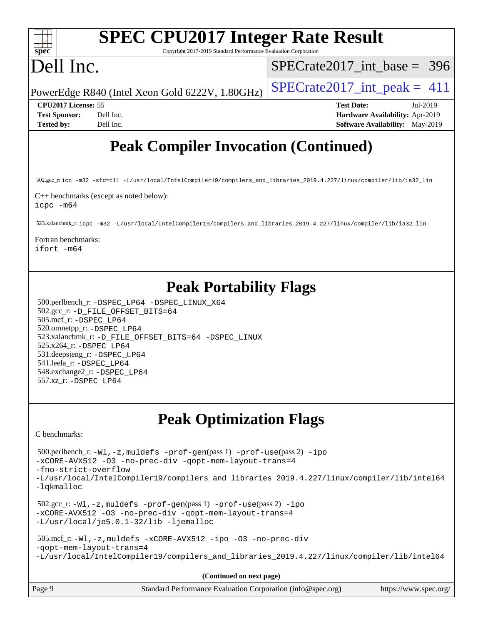| <b>SPEC CPU2017 Integer Rate Result</b><br>spec<br>Copyright 2017-2019 Standard Performance Evaluation Corporation                                         |                                                                                                            |  |  |  |  |
|------------------------------------------------------------------------------------------------------------------------------------------------------------|------------------------------------------------------------------------------------------------------------|--|--|--|--|
| Dell Inc.                                                                                                                                                  | $SPECrate2017\_int\_base = 396$                                                                            |  |  |  |  |
| PowerEdge R840 (Intel Xeon Gold 6222V, 1.80GHz)                                                                                                            | $SPECrate2017\_int\_peak = 411$                                                                            |  |  |  |  |
| CPU2017 License: 55<br><b>Test Sponsor:</b><br>Dell Inc.<br><b>Tested by:</b><br>Dell Inc.                                                                 | <b>Test Date:</b><br>Jul-2019<br>Hardware Availability: Apr-2019<br><b>Software Availability:</b> May-2019 |  |  |  |  |
| <b>Peak Compiler Invocation (Continued)</b>                                                                                                                |                                                                                                            |  |  |  |  |
| 502.gcc_r:icc -m32 -std=c11 -L/usr/local/IntelCompiler19/compilers_and_libraries_2019.4.227/linux/compiler/lib/ia32_lin                                    |                                                                                                            |  |  |  |  |
| C++ benchmarks (except as noted below):<br>icpc -m64                                                                                                       |                                                                                                            |  |  |  |  |
| 523.xalancbmk_r:icpc -m32 -L/usr/local/IntelCompiler19/compilers_and_libraries_2019.4.227/linux/compiler/lib/ia32_lin                                      |                                                                                                            |  |  |  |  |
| Fortran benchmarks:<br>ifort -m64                                                                                                                          |                                                                                                            |  |  |  |  |
| <b>Peak Portability Flags</b>                                                                                                                              |                                                                                                            |  |  |  |  |
| 500.perlbench_r: -DSPEC_LP64 -DSPEC_LINUX_X64<br>502.gcc_r: -D_FILE_OFFSET_BITS=64                                                                         |                                                                                                            |  |  |  |  |
| 505.mcf_r: -DSPEC_LP64<br>520.omnetpp_r: -DSPEC_LP64                                                                                                       |                                                                                                            |  |  |  |  |
| 523.xalancbmk_r: -D_FILE_OFFSET_BITS=64 -DSPEC_LINUX<br>525.x264_r: -DSPEC_LP64                                                                            |                                                                                                            |  |  |  |  |
| 531.deepsjeng_r: -DSPEC_LP64                                                                                                                               |                                                                                                            |  |  |  |  |
| 541.leela_r: -DSPEC_LP64<br>548.exchange2_r: -DSPEC_LP64                                                                                                   |                                                                                                            |  |  |  |  |
| 557.xz_r: -DSPEC LP64                                                                                                                                      |                                                                                                            |  |  |  |  |
| <b>Peak Optimization Flags</b>                                                                                                                             |                                                                                                            |  |  |  |  |
| C benchmarks:                                                                                                                                              |                                                                                                            |  |  |  |  |
| 500.perlbench_r:-Wl,-z,muldefs -prof-gen(pass 1) -prof-use(pass 2) -ipo<br>-xCORE-AVX512 -03 -no-prec-div -qopt-mem-layout-trans=4<br>-fno-strict-overflow |                                                                                                            |  |  |  |  |
| -L/usr/local/IntelCompiler19/compilers_and_libraries_2019.4.227/linux/compiler/lib/intel64<br>-lqkmalloc                                                   |                                                                                                            |  |  |  |  |
| $502.\text{sec\_r: } -W1$ , $-z$ , muldefs $-prof-gen(pass 1)$ $-prof-use(pass 2)$ $-ipo$                                                                  |                                                                                                            |  |  |  |  |

[-xCORE-AVX512](http://www.spec.org/cpu2017/results/res2019q3/cpu2017-20190805-16478.flags.html#user_peakPASS2_COPTIMIZE502_gcc_r_f-xCORE-AVX512) [-O3](http://www.spec.org/cpu2017/results/res2019q3/cpu2017-20190805-16478.flags.html#user_peakPASS1_COPTIMIZEPASS2_COPTIMIZE502_gcc_r_f-O3) [-no-prec-div](http://www.spec.org/cpu2017/results/res2019q3/cpu2017-20190805-16478.flags.html#user_peakPASS1_COPTIMIZEPASS2_COPTIMIZE502_gcc_r_f-no-prec-div) [-qopt-mem-layout-trans=4](http://www.spec.org/cpu2017/results/res2019q3/cpu2017-20190805-16478.flags.html#user_peakPASS1_COPTIMIZEPASS2_COPTIMIZE502_gcc_r_f-qopt-mem-layout-trans_fa39e755916c150a61361b7846f310bcdf6f04e385ef281cadf3647acec3f0ae266d1a1d22d972a7087a248fd4e6ca390a3634700869573d231a252c784941a8) [-L/usr/local/je5.0.1-32/lib](http://www.spec.org/cpu2017/results/res2019q3/cpu2017-20190805-16478.flags.html#user_peakEXTRA_LIBS502_gcc_r_jemalloc_link_path32_e29f22e8e6c17053bbc6a0971f5a9c01a601a06bb1a59df2084b77a2fe0a2995b64fd4256feaeea39eeba3aae142e96e2b2b0a28974019c0c0c88139a84f900a) [-ljemalloc](http://www.spec.org/cpu2017/results/res2019q3/cpu2017-20190805-16478.flags.html#user_peakEXTRA_LIBS502_gcc_r_jemalloc_link_lib_d1249b907c500fa1c0672f44f562e3d0f79738ae9e3c4a9c376d49f265a04b9c99b167ecedbf6711b3085be911c67ff61f150a17b3472be731631ba4d0471706) 505.mcf\_r: [-Wl,-z,muldefs](http://www.spec.org/cpu2017/results/res2019q3/cpu2017-20190805-16478.flags.html#user_peakEXTRA_LDFLAGS505_mcf_r_link_force_multiple1_b4cbdb97b34bdee9ceefcfe54f4c8ea74255f0b02a4b23e853cdb0e18eb4525ac79b5a88067c842dd0ee6996c24547a27a4b99331201badda8798ef8a743f577) [-xCORE-AVX512](http://www.spec.org/cpu2017/results/res2019q3/cpu2017-20190805-16478.flags.html#user_peakCOPTIMIZE505_mcf_r_f-xCORE-AVX512) [-ipo](http://www.spec.org/cpu2017/results/res2019q3/cpu2017-20190805-16478.flags.html#user_peakCOPTIMIZE505_mcf_r_f-ipo) [-O3](http://www.spec.org/cpu2017/results/res2019q3/cpu2017-20190805-16478.flags.html#user_peakCOPTIMIZE505_mcf_r_f-O3) [-no-prec-div](http://www.spec.org/cpu2017/results/res2019q3/cpu2017-20190805-16478.flags.html#user_peakCOPTIMIZE505_mcf_r_f-no-prec-div)

[-qopt-mem-layout-trans=4](http://www.spec.org/cpu2017/results/res2019q3/cpu2017-20190805-16478.flags.html#user_peakCOPTIMIZE505_mcf_r_f-qopt-mem-layout-trans_fa39e755916c150a61361b7846f310bcdf6f04e385ef281cadf3647acec3f0ae266d1a1d22d972a7087a248fd4e6ca390a3634700869573d231a252c784941a8) [-L/usr/local/IntelCompiler19/compilers\\_and\\_libraries\\_2019.4.227/linux/compiler/lib/intel64](http://www.spec.org/cpu2017/results/res2019q3/cpu2017-20190805-16478.flags.html#user_peakEXTRA_LIBS505_mcf_r_qkmalloc_link_0ffe0cb02c68ef1b443a077c7888c10c67ca0d1dd7138472156f06a085bbad385f78d49618ad55dca9db3b1608e84afc2f69b4003b1d1ca498a9fc1462ccefda)

**(Continued on next page)**

| Page 9 | Standard Performance Evaluation Corporation (info@spec.org) | https://www.spec.org/ |
|--------|-------------------------------------------------------------|-----------------------|